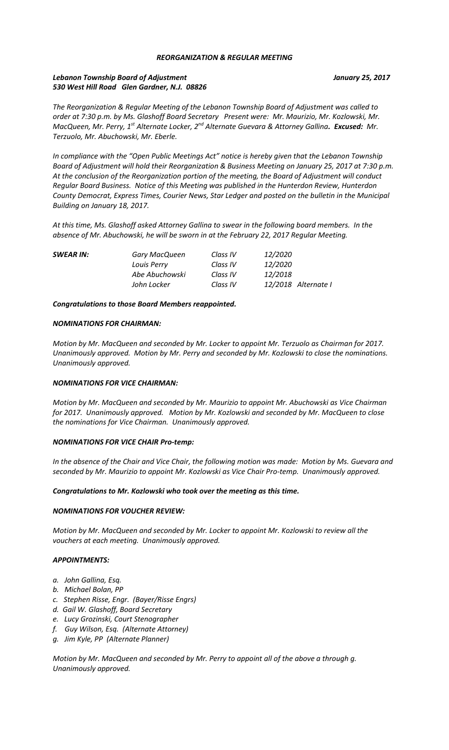## *REORGANIZATION & REGULAR MEETING*

# *Lebanon Township Board of Adjustment January 25, 2017 530 West Hill Road Glen Gardner, N.J. 08826*

*The Reorganization & Regular Meeting of the Lebanon Township Board of Adjustment was called to order at 7:30 p.m. by Ms. Glashoff Board Secretary Present were: Mr. Maurizio, Mr. Kozlowski, Mr. MacQueen, Mr. Perry, 1st Alternate Locker, 2nd Alternate Guevara & Attorney Gallina. Excused: Mr. Terzuolo, Mr. Abuchowski, Mr. Eberle.*

*In compliance with the "Open Public Meetings Act" notice is hereby given that the Lebanon Township Board of Adjustment will hold their Reorganization & Business Meeting on January 25, 2017 at 7:30 p.m. At the conclusion of the Reorganization portion of the meeting, the Board of Adjustment will conduct Regular Board Business. Notice of this Meeting was published in the Hunterdon Review, Hunterdon County Democrat, Express Times, Courier News, Star Ledger and posted on the bulletin in the Municipal Building on January 18, 2017.*

*At this time, Ms. Glashoff asked Attorney Gallina to swear in the following board members. In the absence of Mr. Abuchowski, he will be sworn in at the February 22, 2017 Regular Meeting.*

| <b>SWEAR IN:</b><br>Gary MacQueen | Class IV | 12/2020             |
|-----------------------------------|----------|---------------------|
| Louis Perry                       | Class IV | 12/2020             |
| Abe Abuchowski                    | Class IV | 12/2018             |
| John Locker                       | Class IV | 12/2018 Alternate I |
|                                   |          |                     |

*Congratulations to those Board Members reappointed.*

### *NOMINATIONS FOR CHAIRMAN:*

*Motion by Mr. MacQueen and seconded by Mr. Locker to appoint Mr. Terzuolo as Chairman for 2017. Unanimously approved. Motion by Mr. Perry and seconded by Mr. Kozlowski to close the nominations. Unanimously approved.*

### *NOMINATIONS FOR VICE CHAIRMAN:*

*Motion by Mr. MacQueen and seconded by Mr. Maurizio to appoint Mr. Abuchowski as Vice Chairman for 2017. Unanimously approved. Motion by Mr. Kozlowski and seconded by Mr. MacQueen to close the nominations for Vice Chairman. Unanimously approved.*

### *NOMINATIONS FOR VICE CHAIR Pro-temp:*

*In the absence of the Chair and Vice Chair, the following motion was made: Motion by Ms. Guevara and seconded by Mr. Maurizio to appoint Mr. Kozlowski as Vice Chair Pro-temp. Unanimously approved.*

#### *Congratulations to Mr. Kozlowski who took over the meeting as this time.*

### *NOMINATIONS FOR VOUCHER REVIEW:*

*Motion by Mr. MacQueen and seconded by Mr. Locker to appoint Mr. Kozlowski to review all the vouchers at each meeting. Unanimously approved.*

### *APPOINTMENTS:*

- *a. John Gallina, Esq.*
- *b. Michael Bolan, PP*
- *c. Stephen Risse, Engr. (Bayer/Risse Engrs)*
- *d. Gail W. Glashoff, Board Secretary*
- *e. Lucy Grozinski, Court Stenographer*
- *f. Guy Wilson, Esq. (Alternate Attorney)*
- *g. Jim Kyle, PP (Alternate Planner)*

*Motion by Mr. MacQueen and seconded by Mr. Perry to appoint all of the above a through g. Unanimously approved.*